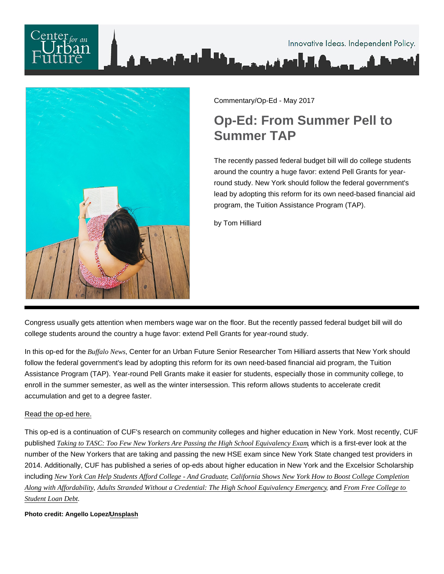

Commentary/Op-Ed - May 2017

## Op-Ed: From Summer Pell to Summer TAP

The recently passed federal budget bill will do college students around the country a huge favor: extend Pell Grants for yearround study. New York should follow the federal government's lead by adopting this reform for its own need-based financial aid program, the Tuition Assistance Program (TAP).

by Tom Hilliard

Congress usually gets attention when members wage war on the floor. But the recently passed federal budget bill will do college students around the country a huge favor: extend Pell Grants for year-round study.

In this op-ed for the Buffalo NewsCenter for an Urban Future Senior Researcher Tom Hilliard asserts that New York should follow the federal government's lead by adopting this reform for its own need-based financial aid program, the Tuition Assistance Program (TAP). Year-round Pell Grants make it easier for students, especially those in community college, to enroll in the summer semester, as well as the winter intersession. This reform allows students to accelerate credit accumulation and get to a degree faster.

## [Read the op-ed here.](http://buffalonews.com/2017/05/18/another-voice-tap-program-needs-made-flexible/)

This op-ed is a continuation of CUF's research on community colleges and higher education in New York. Most recently, CUF published [Taking to TASC: Too Few New Yorkers Are Passing the High School Equivalenc](https://nycfuture.org/data/taking-to-tasc)y bacamis a first-ever look at the number of the New Yorkers that are taking and passing the new HSE exam since New York State changed test providers in 2014. Additionally, CUF has published a series of op-eds about higher education in New York and the Excelsior Scholarship including [New York Can Help Students Afford College - And Grad](https://nycfuture.org/research/op-ed-new-york-can-help-students-afford-collegeand-graduate2) Calle fornia Shows New York How to Boost College Completion Along with Affordability [Adults Stranded Without a Credential: The High School Equivalency Eme](https://nycfuture.org/research/op-ed-the-high-school-equivalency-emergency)rgedo Free College to [Student Loan De](https://nycfuture.org/research/from-free-college-to-student-loan-debt)bt

Photo credit: Angello Lopez/ [Unsplash](https://unsplash.com/photos/HQE7ryBQ2vE)